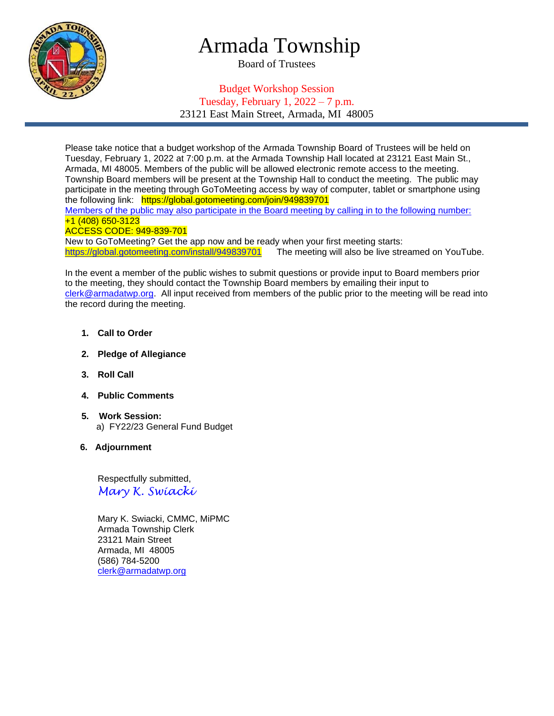

# Armada Township

Board of Trustees

## Budget Workshop Session Tuesday, February 1,  $2022 - 7$  p.m. 23121 East Main Street, Armada, MI 48005

Please take notice that a budget workshop of the Armada Township Board of Trustees will be held on Tuesday, February 1, 2022 at 7:00 p.m. at the Armada Township Hall located at 23121 East Main St., Armada, MI 48005. Members of the public will be allowed electronic remote access to the meeting. Township Board members will be present at the Township Hall to conduct the meeting. The public may participate in the meeting through GoToMeeting access by way of computer, tablet or smartphone using the following link: https://global.gotomeeting.com/join/949839701

Members of the public may also participate in the Board meeting by calling in to the following number: +1 (408) 650-3123

#### ACCESS CODE: 949-839-701

New to GoToMeeting? Get the app now and be ready when your first meeting starts: [https://global.gotomeeting.com/install/949839701](https://global.gotomeeting.com/install/305227005) The meeting will also be live streamed on YouTube.

In the event a member of the public wishes to submit questions or provide input to Board members prior to the meeting, they should contact the Township Board members by emailing their input to [clerk@armadatwp.org.](mailto:clerk@armadatwp.org) All input received from members of the public prior to the meeting will be read into the record during the meeting.

- **1. Call to Order**
- **2. Pledge of Allegiance**
- **3. Roll Call**
- **4. Public Comments**
- **5. Work Session:**  a) FY22/23 General Fund Budget
- **6. Adjournment**

 Respectfully submitted, *Mary K. Swiacki*

 Mary K. Swiacki, CMMC, MiPMC Armada Township Clerk 23121 Main Street Armada, MI 48005 (586) 784-5200 [clerk@armadatwp.org](mailto:clerk@armadatwp.org)